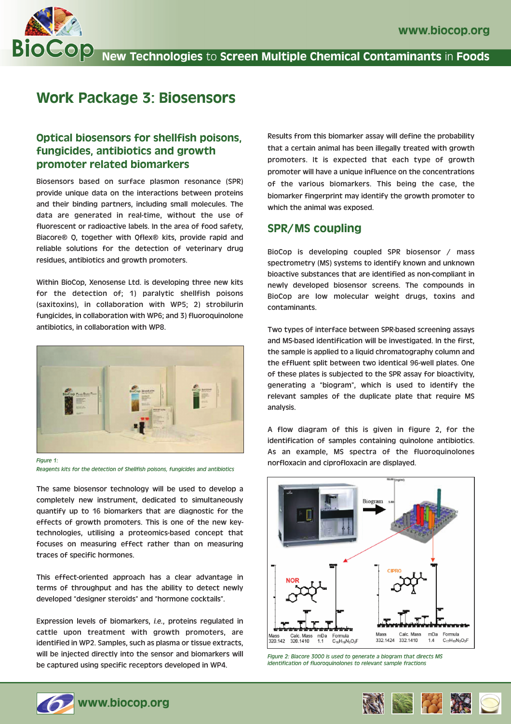

# Work Package 3: Biosensors

## Optical biosensors for shellfish poisons, fungicides, antibiotics and growth promoter related biomarkers

Biosensors based on surface plasmon resonance (SPR) provide unique data on the interactions between proteins and their binding partners, including small molecules. The data are generated in real-time, without the use of fluorescent or radioactive labels. In the area of food safety, Biacore® Q, together with Qflex® kits, provide rapid and reliable solutions for the detection of veterinary drug residues, antibiotics and growth promoters.

Within BioCop, Xenosense Ltd. is developing three new kits for the detection of; 1) paralytic shellfish poisons (saxitoxins), in collaboration with WP5; 2) strobilurin fungicides, in collaboration with WP6; and 3) fluoroquinolone antibiotics, in collaboration with WP8.



*Reagents kits for the detection of Shellfish poisons, fungicides and antibiotics*

The same biosensor technology will be used to develop a completely new instrument, dedicated to simultaneously quantify up to 16 biomarkers that are diagnostic for the effects of growth promoters. This is one of the new keytechnologies, utilising a proteomics-based concept that focuses on measuring effect rather than on measuring traces of specific hormones.

This effect-oriented approach has a clear advantage in terms of throughput and has the ability to detect newly developed "designer steroids" and "hormone cocktails".

Expression levels of biomarkers, *i.e.*, proteins regulated in cattle upon treatment with growth promoters, are identified in WP2. Samples, such as plasma or tissue extracts, will be injected directly into the sensor and biomarkers will be captured using specific receptors developed in WP4.

Results from this biomarker assay will define the probability that a certain animal has been illegally treated with growth promoters. It is expected that each type of growth promoter will have a unique influence on the concentrations of the various biomarkers. This being the case, the biomarker fingerprint may identify the growth promoter to which the animal was exposed.

### SPR/MS coupling

BioCop is developing coupled SPR biosensor / mass spectrometry (MS) systems to identify known and unknown bioactive substances that are identified as non-compliant in newly developed biosensor screens. The compounds in BioCop are low molecular weight drugs, toxins and contaminants.

Two types of interface between SPR-based screening assays and MS-based identification will be investigated. In the first, the sample is applied to a liquid chromatography column and the effluent split between two identical 96-well plates. One of these plates is subjected to the SPR assay for bioactivity, generating a "biogram", which is used to identify the relevant samples of the duplicate plate that require MS analysis.

A flow diagram of this is given in figure 2, for the identification of samples containing quinolone antibiotics. As an example, MS spectra of the fluoroquinolones norfloxacin and ciprofloxacin are displayed.



*Figure 2: Biacore 3000 is used to generate a biogram that directs MS identification of fluoroquinolones to relevant sample fractions*